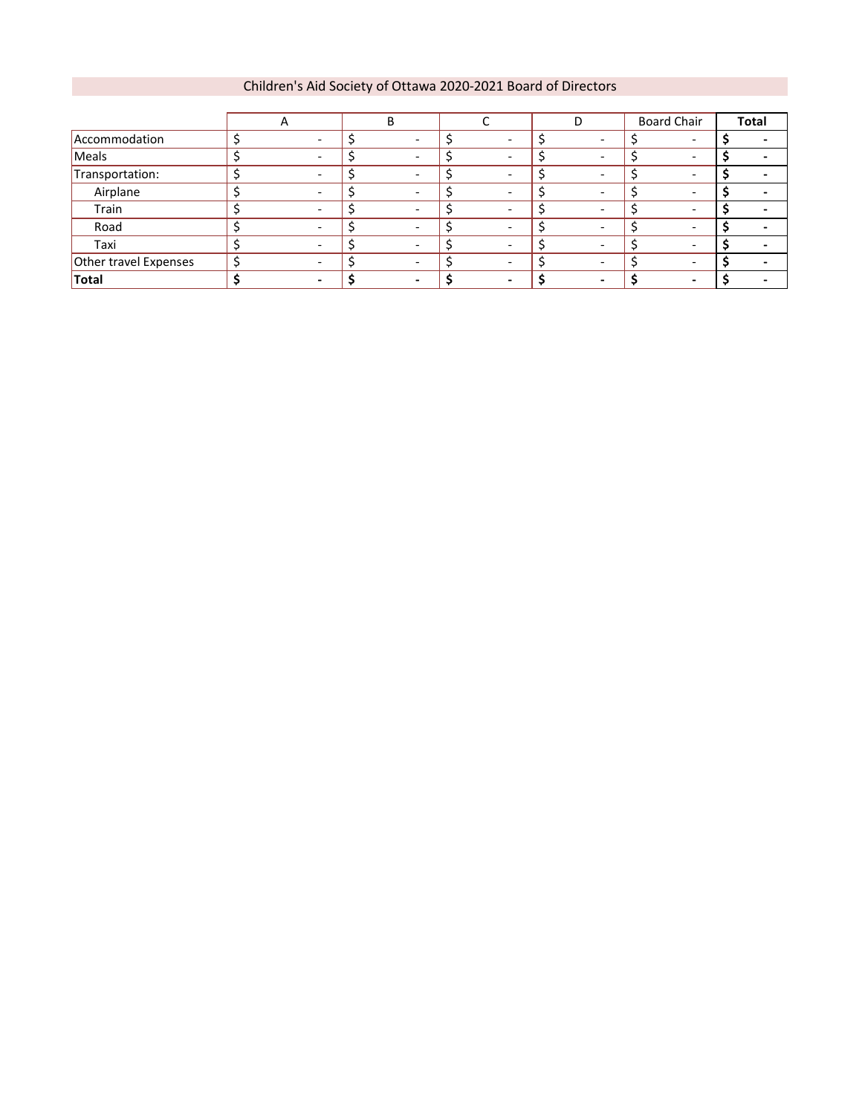#### Children's Aid Society of Ottawa 2020-2021 Board of Directors

|                       | $\mathsf{A}$ |                          |                          |                          | <b>Board Chair</b> | Total |
|-----------------------|--------------|--------------------------|--------------------------|--------------------------|--------------------|-------|
| Accommodation         |              |                          |                          |                          |                    |       |
| Meals                 |              |                          |                          |                          |                    |       |
| Transportation:       |              |                          |                          |                          |                    |       |
| Airplane              |              |                          |                          |                          |                    |       |
| Train                 |              |                          |                          |                          |                    |       |
| Road                  |              | $\overline{\phantom{0}}$ | $\overline{\phantom{0}}$ | $\overline{\phantom{0}}$ |                    |       |
| Taxi                  |              |                          |                          |                          |                    |       |
| Other travel Expenses |              |                          |                          |                          |                    |       |
| <b>Total</b>          |              |                          |                          | -                        |                    |       |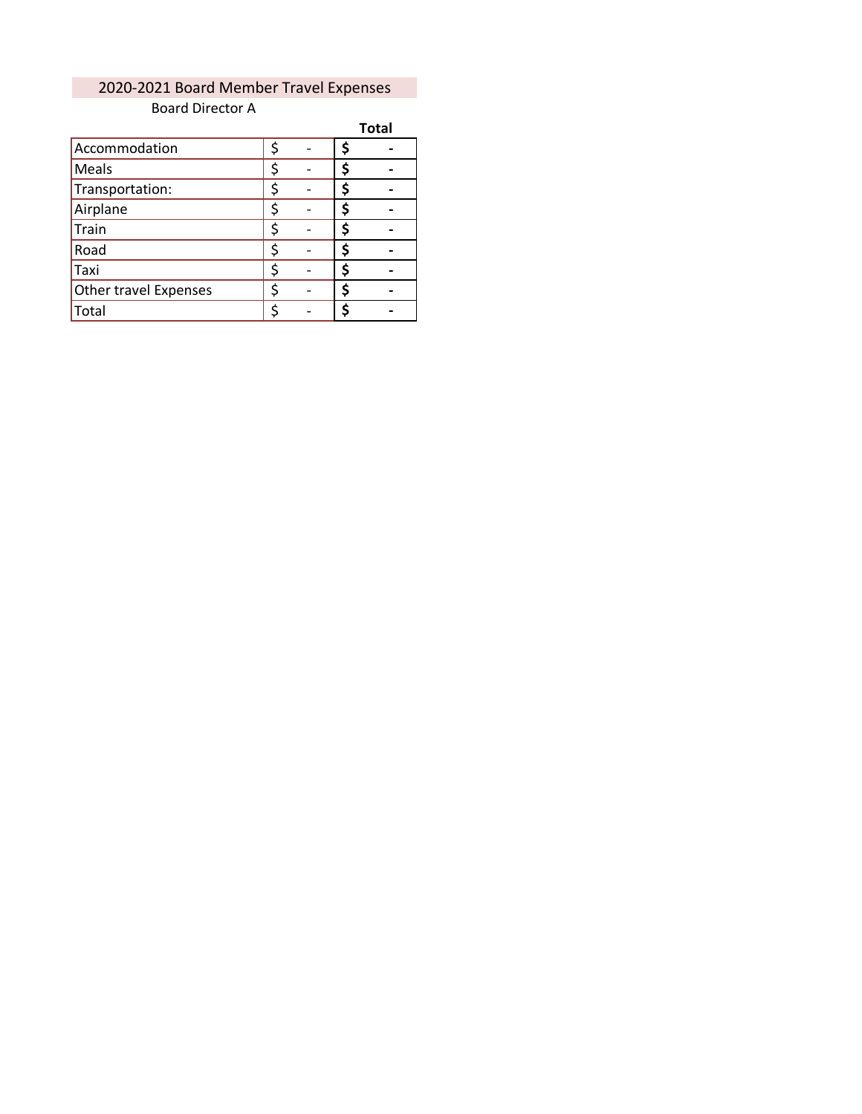#### Board Director A 2020-2021 Board Member Travel Expenses

|                       |    | <b>Total</b> |
|-----------------------|----|--------------|
| Accommodation         | \$ |              |
| Meals                 | \$ |              |
| Transportation:       | \$ |              |
| Airplane              | \$ |              |
| Train                 | \$ |              |
| Road                  | \$ |              |
| Taxi                  | \$ |              |
| Other travel Expenses | \$ |              |
| Total                 | \$ |              |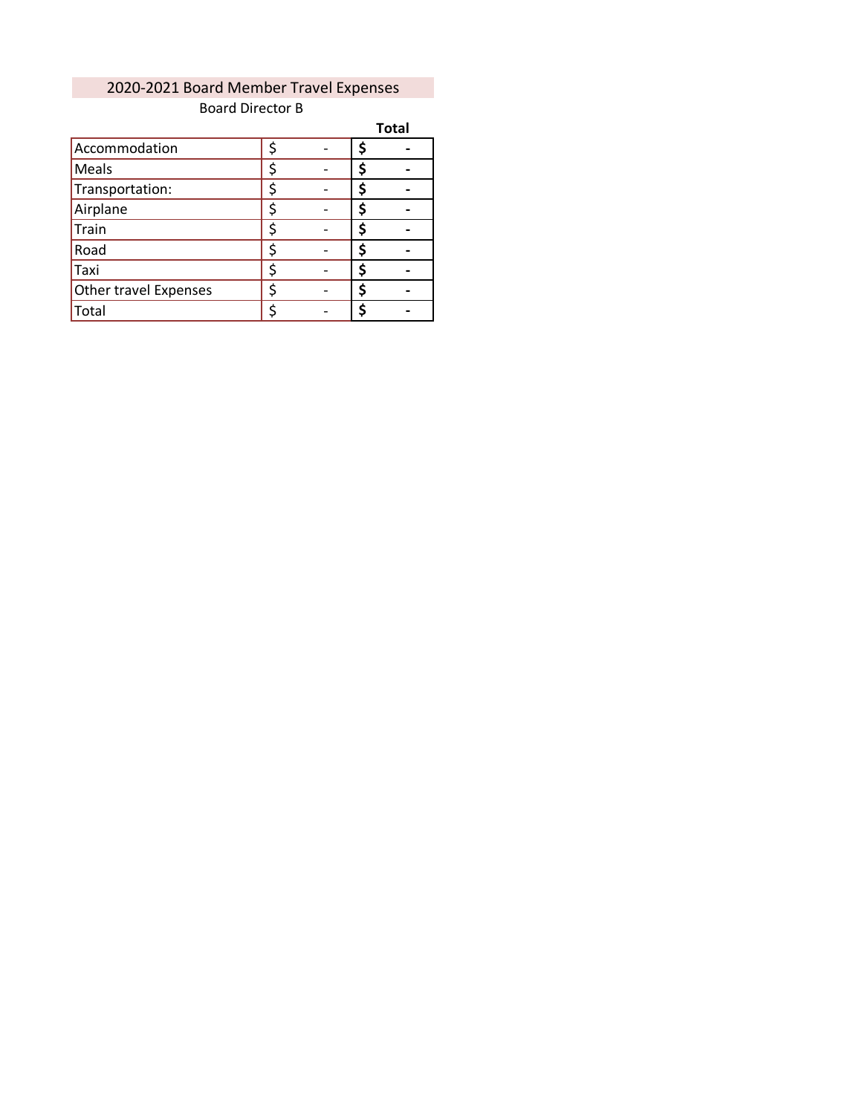## 2020-2021 Board Member Travel Expenses Board Director B

|                       |   |  | <b>Total</b> |
|-----------------------|---|--|--------------|
| Accommodation         | ς |  |              |
| Meals                 |   |  |              |
| Transportation:       |   |  |              |
| Airplane              |   |  |              |
| Train                 | ς |  |              |
| Road                  |   |  |              |
| Taxi                  |   |  |              |
| Other travel Expenses | ς |  |              |
| Total                 |   |  |              |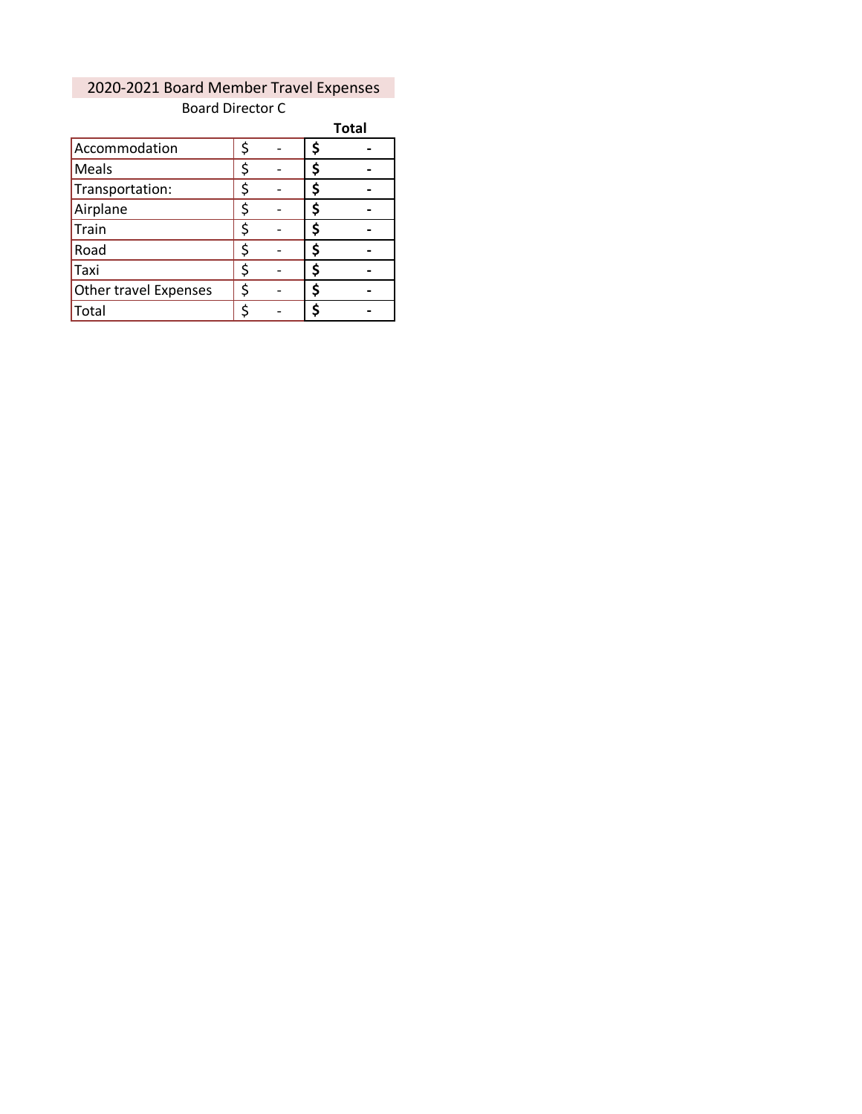## 2020-2021 Board Member Travel Expenses Board Director C

|                       |    |    | <b>Total</b> |
|-----------------------|----|----|--------------|
| Accommodation         | \$ | \$ |              |
| Meals                 | \$ | \$ |              |
| Transportation:       | \$ | \$ |              |
| Airplane              | \$ | \$ |              |
| Train                 | \$ | \$ |              |
| Road                  | \$ | \$ |              |
| Taxi                  | \$ | \$ |              |
| Other travel Expenses | \$ | \$ |              |
| Total                 | \$ | S  |              |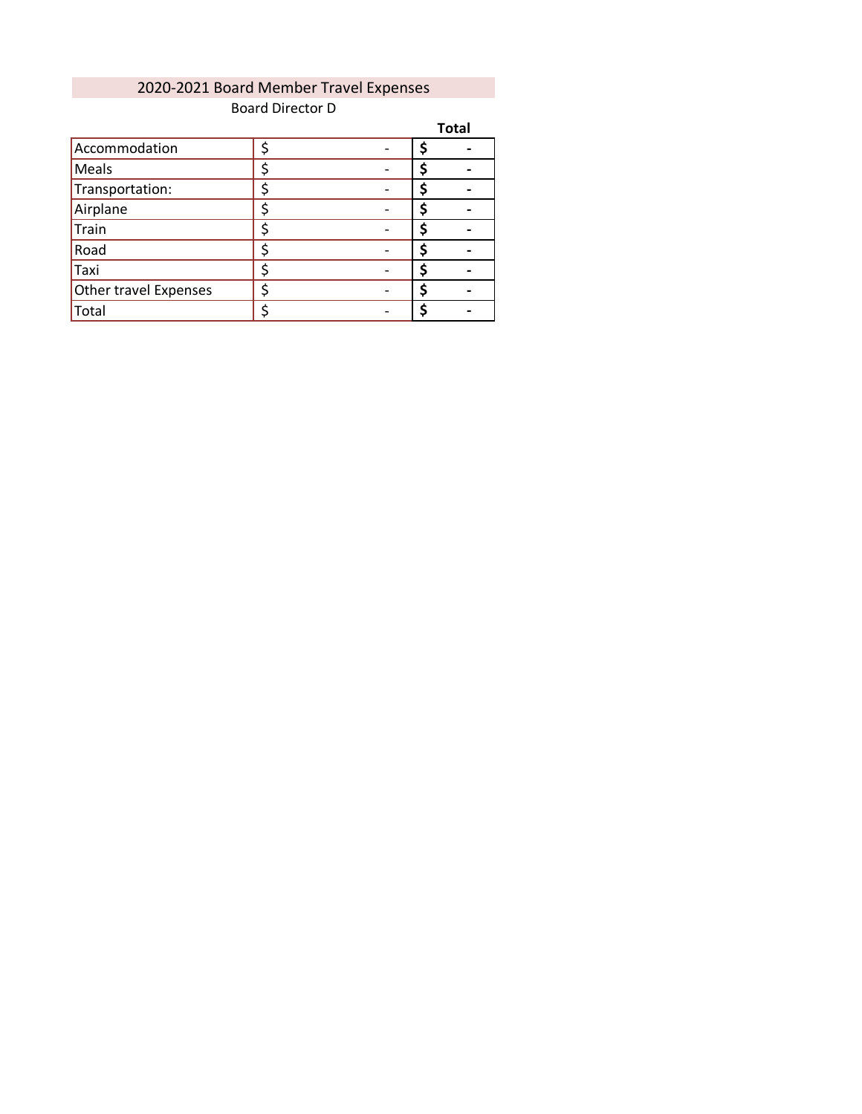# 2020-2021 Board Member Travel Expenses Board Director D

|                       |    |   | <b>Total</b> |
|-----------------------|----|---|--------------|
| Accommodation         | \$ |   |              |
| Meals                 | \$ |   |              |
| Transportation:       |    |   |              |
| Airplane              | \$ | S |              |
| Train                 | \$ |   |              |
| Road                  | ς  |   |              |
| Taxi                  | \$ | S |              |
| Other travel Expenses | \$ |   |              |
| Total                 | ς  |   |              |